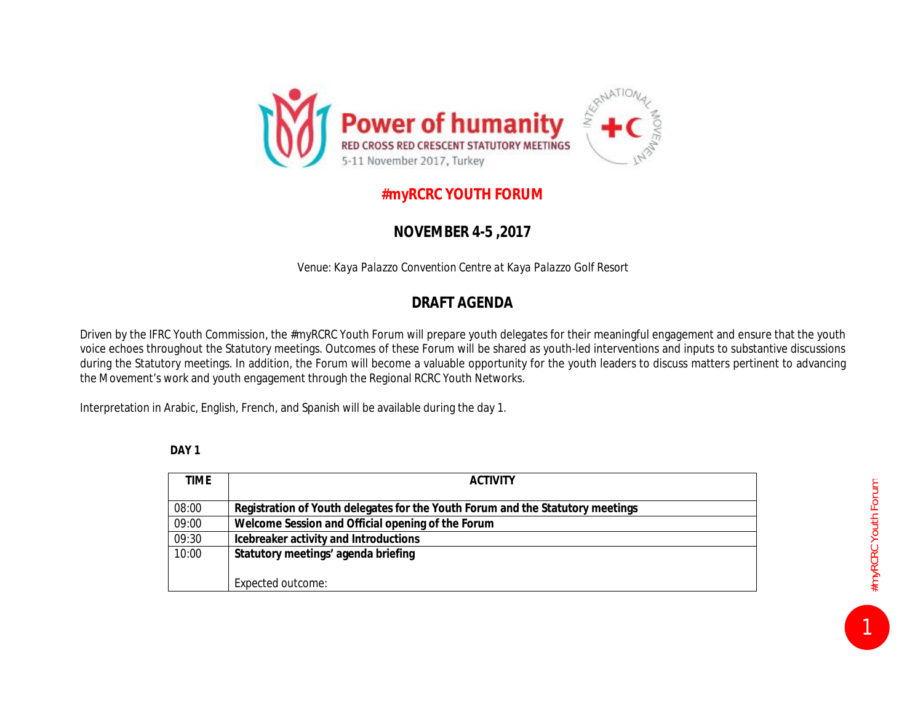

## **#myRCRC YOUTH FORUM**

## **NOVEMBER 4-5 ,2017**

*Venue: Kaya Palazzo Convention Centre at Kaya Palazzo Golf Resort* 

## **DRAFT AGENDA**

Driven by the IFRC Youth Commission, the #myRCRC Youth Forum will prepare youth delegates for their meaningful engagement and ensure that the youth voice echoes throughout the Statutory meetings. Outcomes of these Forum will be shared as youth-led interventions and inputs to substantive discussions during the Statutory meetings. In addition, the Forum will become a valuable opportunity for the youth leaders to discuss matters pertinent to advancing the Movement's work and youth engagement through the Regional RCRC Youth Networks.

Interpretation in Arabic, English, French, and Spanish will be available during the day 1.

**DAY 1** 

| TIME. | <b>ACTIVITY</b>                                                                |
|-------|--------------------------------------------------------------------------------|
| 08:00 | Registration of Youth delegates for the Youth Forum and the Statutory meetings |
| 09:00 | Welcome Session and Official opening of the Forum                              |
| 09:30 | Icebreaker activity and Introductions                                          |
| 10:00 | Statutory meetings' agenda briefing                                            |
|       |                                                                                |
|       | Expected outcome:                                                              |

1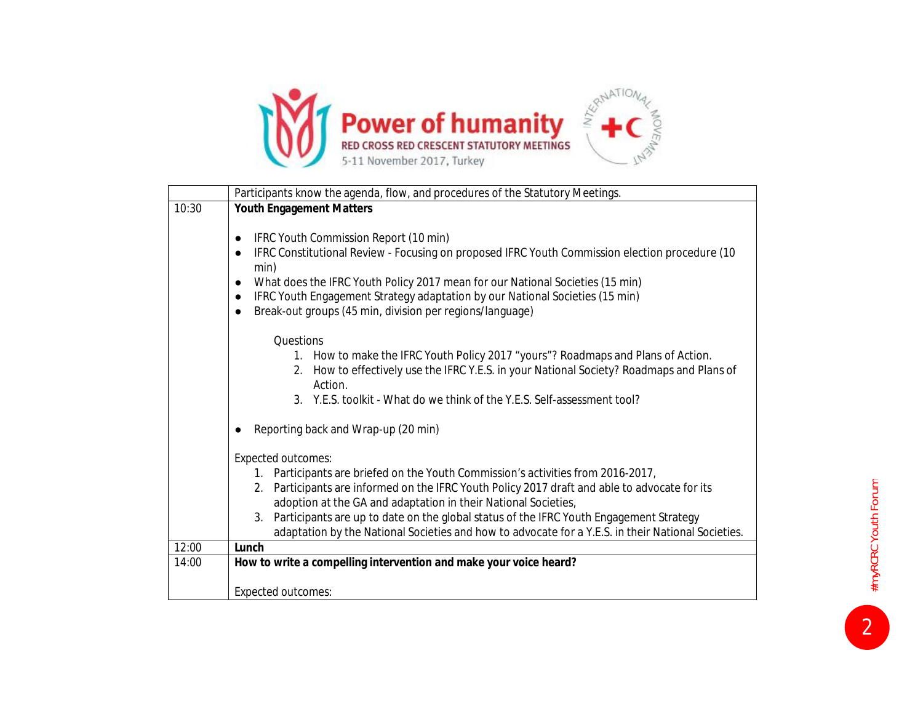

|       | Participants know the agenda, flow, and procedures of the Statutory Meetings.                                                                                   |
|-------|-----------------------------------------------------------------------------------------------------------------------------------------------------------------|
| 10:30 | <b>Youth Engagement Matters</b>                                                                                                                                 |
|       | IFRC Youth Commission Report (10 min)<br>$\bullet$                                                                                                              |
|       | IFRC Constitutional Review - Focusing on proposed IFRC Youth Commission election procedure (10<br>$\bullet$<br>min)                                             |
|       | What does the IFRC Youth Policy 2017 mean for our National Societies (15 min)<br>$\bullet$                                                                      |
|       | IFRC Youth Engagement Strategy adaptation by our National Societies (15 min)<br>$\bullet$                                                                       |
|       | Break-out groups (45 min, division per regions/language)<br>$\bullet$                                                                                           |
|       | Questions                                                                                                                                                       |
|       | 1. How to make the IFRC Youth Policy 2017 "yours"? Roadmaps and Plans of Action.                                                                                |
|       | How to effectively use the IFRC Y.E.S. in your National Society? Roadmaps and Plans of<br>2.                                                                    |
|       | Action.                                                                                                                                                         |
|       | 3. Y.E.S. toolkit - What do we think of the Y.E.S. Self-assessment tool?                                                                                        |
|       | Reporting back and Wrap-up (20 min)                                                                                                                             |
|       | <b>Expected outcomes:</b>                                                                                                                                       |
|       | 1. Participants are briefed on the Youth Commission's activities from 2016-2017,                                                                                |
|       | 2. Participants are informed on the IFRC Youth Policy 2017 draft and able to advocate for its<br>adoption at the GA and adaptation in their National Societies, |
|       | 3. Participants are up to date on the global status of the IFRC Youth Engagement Strategy                                                                       |
|       | adaptation by the National Societies and how to advocate for a Y.E.S. in their National Societies.                                                              |
| 12:00 | Lunch                                                                                                                                                           |
| 14:00 | How to write a compelling intervention and make your voice heard?                                                                                               |
|       |                                                                                                                                                                 |
|       | <b>Expected outcomes:</b>                                                                                                                                       |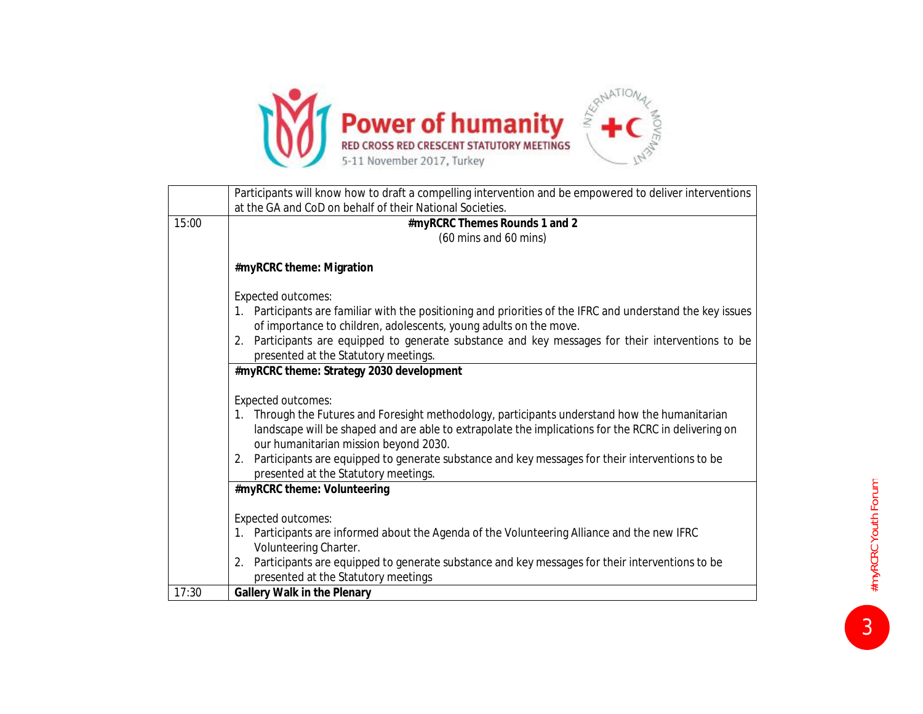

|       | Participants will know how to draft a compelling intervention and be empowered to deliver interventions                                                                                                                                        |
|-------|------------------------------------------------------------------------------------------------------------------------------------------------------------------------------------------------------------------------------------------------|
|       | at the GA and CoD on behalf of their National Societies.                                                                                                                                                                                       |
| 15:00 | #myRCRC Themes Rounds 1 and 2                                                                                                                                                                                                                  |
|       | (60 mins and 60 mins)                                                                                                                                                                                                                          |
|       | #myRCRC theme: Migration                                                                                                                                                                                                                       |
|       | <b>Expected outcomes:</b>                                                                                                                                                                                                                      |
|       | Participants are familiar with the positioning and priorities of the IFRC and understand the key issues                                                                                                                                        |
|       | of importance to children, adolescents, young adults on the move.                                                                                                                                                                              |
|       | 2. Participants are equipped to generate substance and key messages for their interventions to be<br>presented at the Statutory meetings.                                                                                                      |
|       | #myRCRC theme: Strategy 2030 development                                                                                                                                                                                                       |
|       |                                                                                                                                                                                                                                                |
|       | <b>Expected outcomes:</b>                                                                                                                                                                                                                      |
|       | 1. Through the Futures and Foresight methodology, participants understand how the humanitarian<br>landscape will be shaped and are able to extrapolate the implications for the RCRC in delivering on<br>our humanitarian mission beyond 2030. |
|       | Participants are equipped to generate substance and key messages for their interventions to be<br>2.<br>presented at the Statutory meetings.                                                                                                   |
|       | #myRCRC theme: Volunteering                                                                                                                                                                                                                    |
|       | <b>Expected outcomes:</b>                                                                                                                                                                                                                      |
|       | Participants are informed about the Agenda of the Volunteering Alliance and the new IFRC<br>1.<br>Volunteering Charter.                                                                                                                        |
|       | Participants are equipped to generate substance and key messages for their interventions to be<br>2.                                                                                                                                           |
|       | presented at the Statutory meetings                                                                                                                                                                                                            |
| 17:30 | <b>Gallery Walk in the Plenary</b>                                                                                                                                                                                                             |

**3** #myRCRC Youth Forum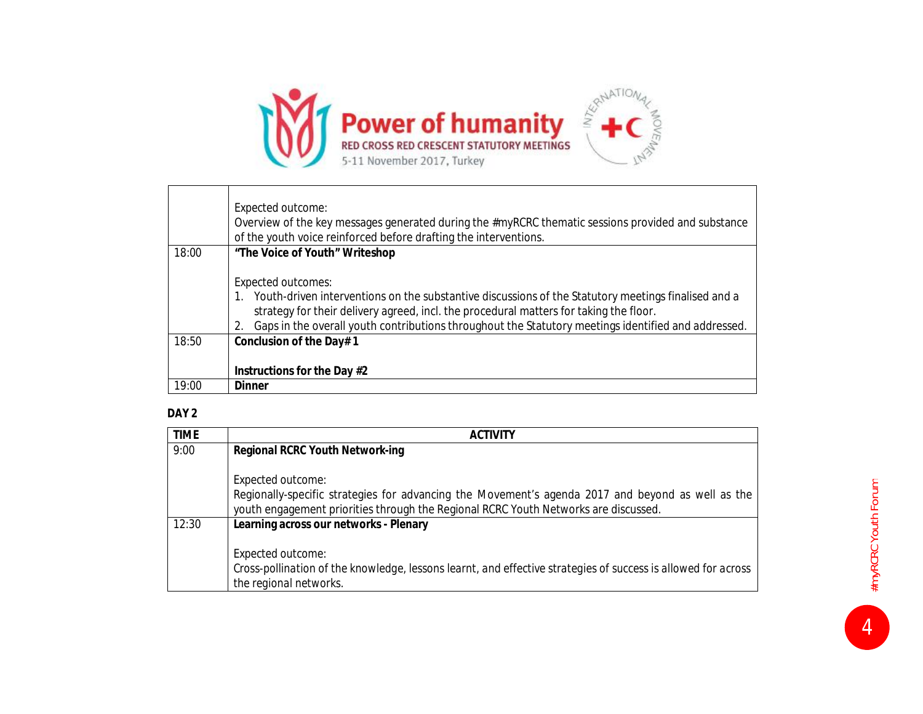

|       | Expected outcome:<br>Overview of the key messages generated during the #myRCRC thematic sessions provided and substance<br>of the youth voice reinforced before drafting the interventions.                                                                                                                                             |
|-------|-----------------------------------------------------------------------------------------------------------------------------------------------------------------------------------------------------------------------------------------------------------------------------------------------------------------------------------------|
| 18:00 | "The Voice of Youth" Writeshop                                                                                                                                                                                                                                                                                                          |
|       | <b>Expected outcomes:</b><br>1. Youth-driven interventions on the substantive discussions of the Statutory meetings finalised and a<br>strategy for their delivery agreed, incl. the procedural matters for taking the floor.<br>2. Gaps in the overall youth contributions throughout the Statutory meetings identified and addressed. |
| 18:50 | Conclusion of the Day# 1                                                                                                                                                                                                                                                                                                                |
|       | Instructions for the Day #2                                                                                                                                                                                                                                                                                                             |
| 19:00 | Dinner                                                                                                                                                                                                                                                                                                                                  |

## **DAY 2**

| <b>TIME</b> | <b>ACTIVITY</b>                                                                                                                                                                          |
|-------------|------------------------------------------------------------------------------------------------------------------------------------------------------------------------------------------|
| 9:00        | Regional RCRC Youth Network-ing                                                                                                                                                          |
|             | Expected outcome:                                                                                                                                                                        |
|             | Regionally-specific strategies for advancing the Movement's agenda 2017 and beyond as well as the<br>youth engagement priorities through the Regional RCRC Youth Networks are discussed. |
| 12:30       | Learning across our networks - Plenary                                                                                                                                                   |
|             | Expected outcome:                                                                                                                                                                        |
|             | Cross-pollination of the knowledge, lessons learnt, and effective strategies of success is allowed for across<br>the regional networks.                                                  |